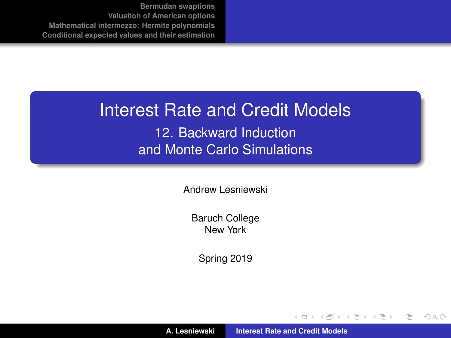#### Interest Rate and Credit Models

12. Backward Induction and Monte Carlo Simulations

Andrew Lesniewski

Baruch College New York

Spring 2019

(ロトス個) (運) (運)

 $2Q$ 

<span id="page-0-0"></span>重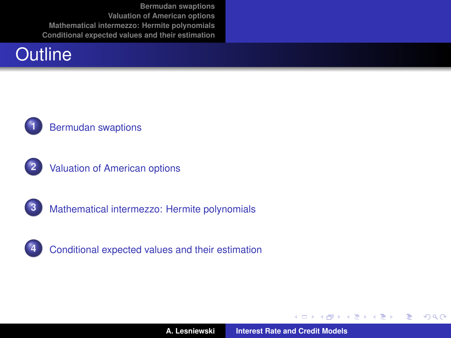## **Outline**



#### **1** [Bermudan swaptions](#page-2-0)



**2** [Valuation of American options](#page-11-0)





(ロトス個) (運) (運)

 $299$ 

Þ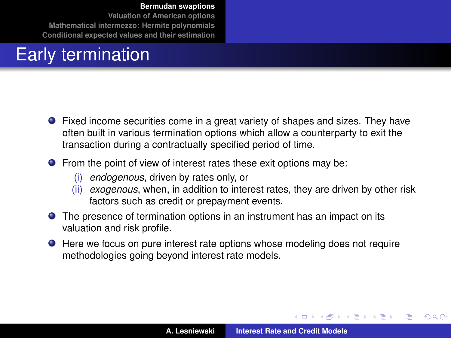**[Valuation of American options](#page-11-0) [Mathematical intermezzo: Hermite polynomials](#page-23-0) [Conditional expected values and their estimation](#page-29-0)**

## Early termination

- Fixed income securities come in a great variety of shapes and sizes. They have often built in various termination options which allow a counterparty to exit the transaction during a contractually specified period of time.
- **•** From the point of view of interest rates these exit options may be:
	- (i) *endogenous*, driven by rates only, or
	- (ii) *exogenous*, when, in addition to interest rates, they are driven by other risk factors such as credit or prepayment events.
- **•** The presence of termination options in an instrument has an impact on its valuation and risk profile.
- Here we focus on pure interest rate options whose modeling does not require methodologies going beyond interest rate models.

<span id="page-2-0"></span>(ロトス個) (運) (運)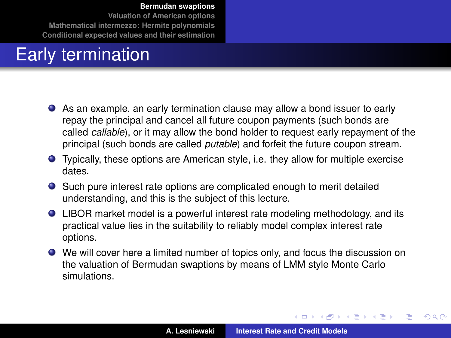**[Valuation of American options](#page-11-0) [Mathematical intermezzo: Hermite polynomials](#page-23-0) [Conditional expected values and their estimation](#page-29-0)**

## Early termination

- As an example, an early termination clause may allow a bond issuer to early repay the principal and cancel all future coupon payments (such bonds are called *callable*), or it may allow the bond holder to request early repayment of the principal (such bonds are called *putable*) and forfeit the future coupon stream.
- Typically, these options are American style, i.e. they allow for multiple exercise dates.
- Such pure interest rate options are complicated enough to merit detailed understanding, and this is the subject of this lecture.
- LIBOR market model is a powerful interest rate modeling methodology, and its practical value lies in the suitability to reliably model complex interest rate options.
- We will cover here a limited number of topics only, and focus the discussion on the valuation of Bermudan swaptions by means of LMM style Monte Carlo simulations.

 $\left\{ \begin{array}{ccc} 1 & 0 & 0 \\ 0 & 1 & 0 \end{array} \right.$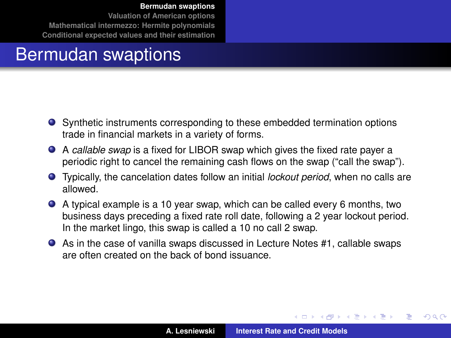**[Valuation of American options](#page-11-0) [Mathematical intermezzo: Hermite polynomials](#page-23-0) [Conditional expected values and their estimation](#page-29-0)**

#### Bermudan swaptions

- Synthetic instruments corresponding to these embedded termination options trade in financial markets in a variety of forms.
- A *callable swap* is a fixed for LIBOR swap which gives the fixed rate payer a periodic right to cancel the remaining cash flows on the swap ("call the swap").
- Typically, the cancelation dates follow an initial *lockout period*, when no calls are allowed.
- A typical example is a 10 year swap, which can be called every 6 months, two business days preceding a fixed rate roll date, following a 2 year lockout period. In the market lingo, this swap is called a 10 no call 2 swap.
- As in the case of vanilla swaps discussed in Lecture Notes #1, callable swaps are often created on the back of bond issuance.

 $\left\{ \begin{array}{ccc} 1 & 0 & 0 \\ 0 & 1 & 0 \end{array} \right.$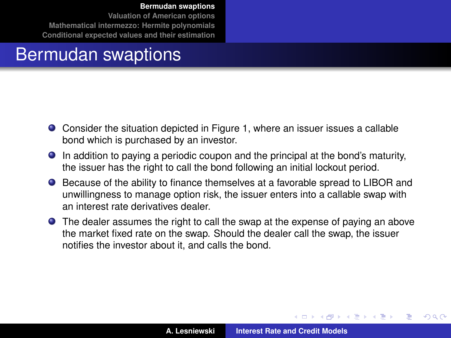**[Valuation of American options](#page-11-0) [Mathematical intermezzo: Hermite polynomials](#page-23-0) [Conditional expected values and their estimation](#page-29-0)**

### Bermudan swaptions

- Consider the situation depicted in Figure [1,](#page-6-0) where an issuer issues a callable bond which is purchased by an investor.
- In addition to paying a periodic coupon and the principal at the bond's maturity, the issuer has the right to call the bond following an initial lockout period.
- Because of the ability to finance themselves at a favorable spread to LIBOR and unwillingness to manage option risk, the issuer enters into a callable swap with an interest rate derivatives dealer.
- The dealer assumes the right to call the swap at the expense of paying an above the market fixed rate on the swap. Should the dealer call the swap, the issuer notifies the investor about it, and calls the bond.

 $\left\{ \begin{array}{ccc} 1 & 0 & 0 \\ 0 & 1 & 0 \end{array} \right.$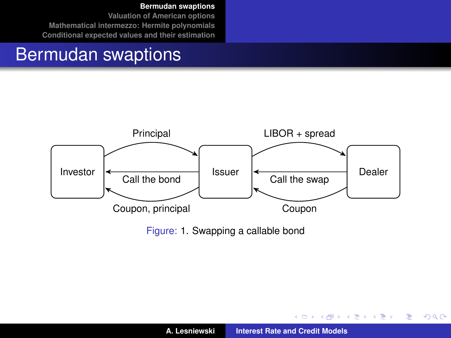**[Valuation of American options](#page-11-0) [Mathematical intermezzo: Hermite polynomials](#page-23-0) [Conditional expected values and their estimation](#page-29-0)**

#### Bermudan swaptions



Figure: [1.](#page-6-0) Swapping a callable bond

<span id="page-6-0"></span>イロメ イ部メ イヨメ イヨメー

重

 $2Q$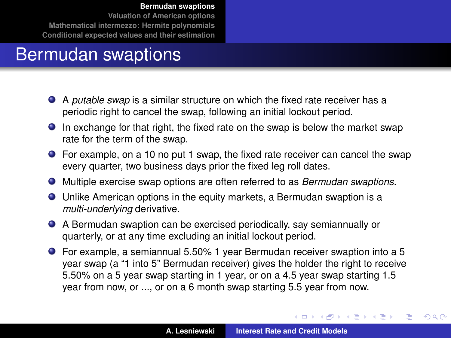**[Valuation of American options](#page-11-0) [Mathematical intermezzo: Hermite polynomials](#page-23-0) [Conditional expected values and their estimation](#page-29-0)**

## Bermudan swaptions

- A *putable swap* is a similar structure on which the fixed rate receiver has a periodic right to cancel the swap, following an initial lockout period.
- In exchange for that right, the fixed rate on the swap is below the market swap rate for the term of the swap.
- For example, on a 10 no put 1 swap, the fixed rate receiver can cancel the swap every quarter, two business days prior the fixed leg roll dates.
- Multiple exercise swap options are often referred to as *Bermudan swaptions*.
- Unlike American options in the equity markets, a Bermudan swaption is a *multi-underlying* derivative.
- A Bermudan swaption can be exercised periodically, say semiannually or quarterly, or at any time excluding an initial lockout period.
- For example, a semiannual 5.50% 1 year Bermudan receiver swaption into a 5 year swap (a "1 into 5" Bermudan receiver) gives the holder the right to receive 5.50% on a 5 year swap starting in 1 year, or on a 4.5 year swap starting 1.5 year from now, or ..., or on a 6 month swap starting 5.5 year from now.

イロメ イ部メ イヨメ イヨメー

 $2Q$ 

Þ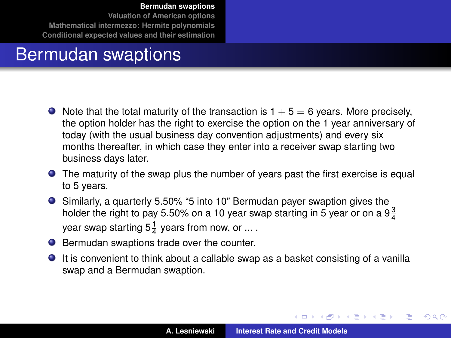**[Valuation of American options](#page-11-0) [Mathematical intermezzo: Hermite polynomials](#page-23-0) [Conditional expected values and their estimation](#page-29-0)**

## Bermudan swaptions

- $\bullet$  Note that the total maturity of the transaction is 1 + 5 = 6 years. More precisely, the option holder has the right to exercise the option on the 1 year anniversary of today (with the usual business day convention adjustments) and every six months thereafter, in which case they enter into a receiver swap starting two business days later.
- **•** The maturity of the swap plus the number of years past the first exercise is equal to 5 years.
- Similarly, a quarterly 5.50% "5 into 10" Bermudan payer swaption gives the holder the right to pay 5.50% on a 10 year swap starting in 5 year or on a 9 $\frac{3}{4}$ year swap starting  $5\frac{1}{4}$  years from now, or ... .
- Bermudan swaptions trade over the counter.
- $\bullet$  It is convenient to think about a callable swap as a basket consisting of a vanilla swap and a Bermudan swaption.

(ロトス個) (運) (運)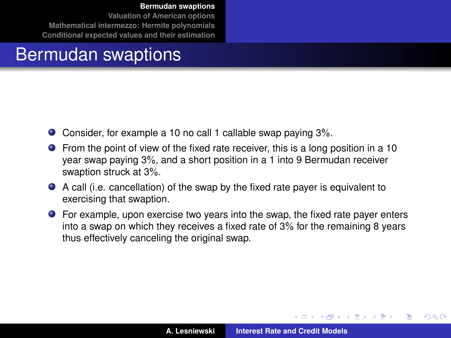**[Valuation of American options](#page-11-0) [Mathematical intermezzo: Hermite polynomials](#page-23-0) [Conditional expected values and their estimation](#page-29-0)**

#### Bermudan swaptions

- Consider, for example a 10 no call 1 callable swap paying 3%.
- From the point of view of the fixed rate receiver, this is a long position in a 10 year swap paying 3%, and a short position in a 1 into 9 Bermudan receiver swaption struck at 3%.
- A call (i.e. cancellation) of the swap by the fixed rate payer is equivalent to exercising that swaption.
- For example, upon exercise two years into the swap, the fixed rate payer enters into a swap on which they receives a fixed rate of 3% for the remaining 8 years thus effectively canceling the original swap.

 $\left\{ \begin{array}{ccc} 1 & 0 & 0 \\ 0 & 1 & 0 \end{array} \right.$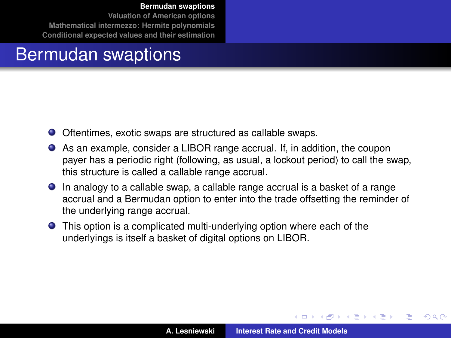**[Valuation of American options](#page-11-0) [Mathematical intermezzo: Hermite polynomials](#page-23-0) [Conditional expected values and their estimation](#page-29-0)**

## Bermudan swaptions

- Oftentimes, exotic swaps are structured as callable swaps.
- As an example, consider a LIBOR range accrual. If, in addition, the coupon payer has a periodic right (following, as usual, a lockout period) to call the swap, this structure is called a callable range accrual.
- In analogy to a callable swap, a callable range accrual is a basket of a range accrual and a Bermudan option to enter into the trade offsetting the reminder of the underlying range accrual.
- **•** This option is a complicated multi-underlying option where each of the underlyings is itself a basket of digital options on LIBOR.

<span id="page-10-0"></span> $\left\{ \begin{array}{ccc} 1 & 0 & 0 \\ 0 & 1 & 0 \end{array} \right.$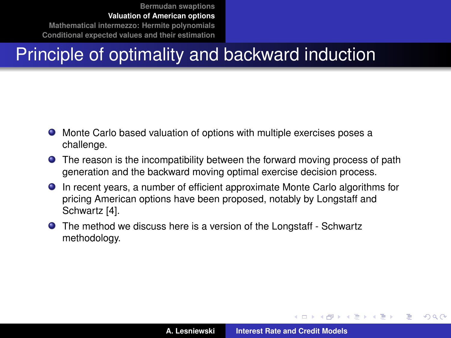## Principle of optimality and backward induction

- Monte Carlo based valuation of options with multiple exercises poses a challenge.
- The reason is the incompatibility between the forward moving process of path generation and the backward moving optimal exercise decision process.
- In recent years, a number of efficient approximate Monte Carlo algorithms for pricing American options have been proposed, notably by Longstaff and Schwartz [\[4\]](#page-46-1).
- The method we discuss here is a version of the Longstaff Schwartz methodology.

<span id="page-11-0"></span> $\left\{ \begin{array}{ccc} 1 & 0 & 0 \\ 0 & 1 & 0 \end{array} \right.$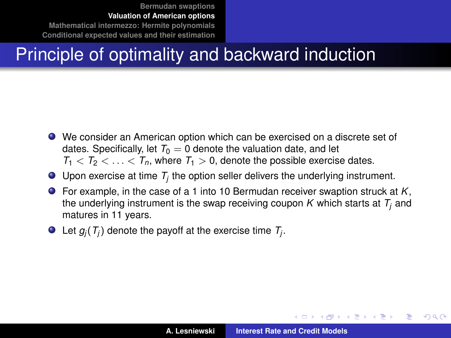## Principle of optimality and backward induction

- We consider an American option which can be exercised on a discrete set of dates. Specifically, let  $T_0 = 0$  denote the valuation date, and let  $T_1 < T_2 < \ldots < T_n$ , where  $T_1 > 0$ , denote the possible exercise dates.
- Upon exercise at time  $T_j$  the option seller delivers the underlying instrument.
- For example, in the case of a 1 into 10 Bermudan receiver swaption struck at *K*, the underlying instrument is the swap receiving coupon *K* which starts at *T<sup>j</sup>* and matures in 11 years.
- Let  $g_j(\mathcal{T}_j)$  denote the payoff at the exercise time  $\mathcal{T}_j$ .

<span id="page-12-0"></span>イロメ イ部メ イヨメ イヨメー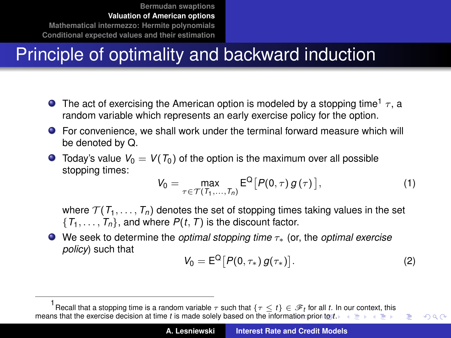# Principle of optimality and backward induction

- **The act of exercising the American option is modeled by a stopping time<sup>1</sup>**  $\tau$ **, a** random variable which represents an early exercise policy for the option.
- For convenience, we shall work under the terminal forward measure which will be denoted by Q.
- $\bullet$  Today's value  $V_0 = V(T_0)$  of the option is the maximum over all possible stopping times:

$$
V_0 = \max_{\tau \in \mathcal{T}(T_1, ..., T_n)} E^{\mathsf{Q}} [P(0, \tau) g(\tau)], \qquad (1)
$$

where  $\mathcal{T}(\mathcal{T}_1,\ldots,\mathcal{T}_n)$  denotes the set of stopping times taking values in the set  ${T_1, \ldots, T_n}$ , and where  $P(t, T)$  is the discount factor.

We seek to determine the *optimal stopping time* τ∗ (or, the *optimal exercise policy*) such that

<span id="page-13-1"></span><span id="page-13-0"></span>
$$
V_0 = E^{\mathsf{Q}} [P(0, \tau_*) g(\tau_*)]. \tag{2}
$$

<sup>1</sup> Recall [th](#page-22-0)at a stopping time [is](#page-23-0) a random variable  $\tau$  such that  $\{\tau \leq t\} \in \mathscr{F}_t$  fo[r](#page-11-0) all  $t$ . In [ou](#page-10-0)r [co](#page-22-0)[nt](#page-23-0)[ex](#page-10-0)[t,](#page-11-0) this means [t](#page-13-0)hat the exercise decision at time *t* is made solely based on the inform[atio](#page-12-0)n [prio](#page-14-0)[r](#page-12-0) [to](#page-13-0)  $t \rightarrow \pm + + + +$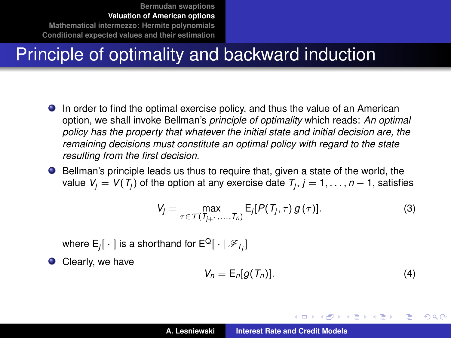## Principle of optimality and backward induction

- In order to find the optimal exercise policy, and thus the value of an American option, we shall invoke Bellman's *principle of optimality* which reads: *An optimal policy has the property that whatever the initial state and initial decision are, the remaining decisions must constitute an optimal policy with regard to the state resulting from the first decision*.
- Bellman's principle leads us thus to require that, given a state of the world, the value  $\mathsf{V}_j = \mathsf{V}(\mathsf{T}_j)$  of the option at any exercise date  $\mathsf{T}_j, j = 1, \ldots, n-1,$  satisfies

$$
V_j = \max_{\tau \in \mathcal{T}(T_{j+1},\ldots,T_n)} E_j[P(T_j,\tau) g(\tau)].
$$
\n(3)

where  $\mathsf{E}_j[\mathrel{\;\cdot\;}]$  is a shorthand for  $\mathsf{E}^\mathsf{Q}[\mathrel{\;\cdot\;}|\mathscr{F}_{\mathcal{T}_j}]$ 

Clearly, we have  $\bullet$ 

$$
V_n = \mathsf{E}_n[g(T_n)]. \tag{4}
$$

イロメ イ部メ イヨメ イヨメー

<span id="page-14-0"></span>Þ  $QQQ$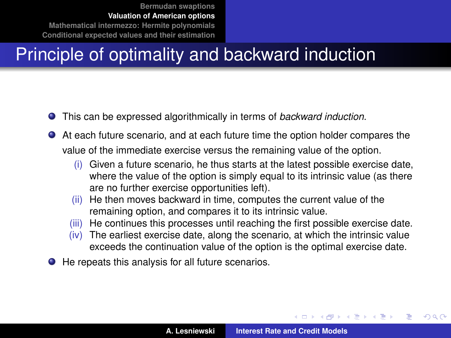## Principle of optimality and backward induction

- This can be expressed algorithmically in terms of *backward induction*.  $\bullet$
- At each future scenario, and at each future time the option holder compares the value of the immediate exercise versus the remaining value of the option.
	- (i) Given a future scenario, he thus starts at the latest possible exercise date, where the value of the option is simply equal to its intrinsic value (as there are no further exercise opportunities left).
	- (ii) He then moves backward in time, computes the current value of the remaining option, and compares it to its intrinsic value.
	- (iii) He continues this processes until reaching the first possible exercise date.
	- (iv) The earliest exercise date, along the scenario, at which the intrinsic value exceeds the continuation value of the option is the optimal exercise date.
- He repeats this analysis for all future scenarios.

(ロトス個) (運) (運)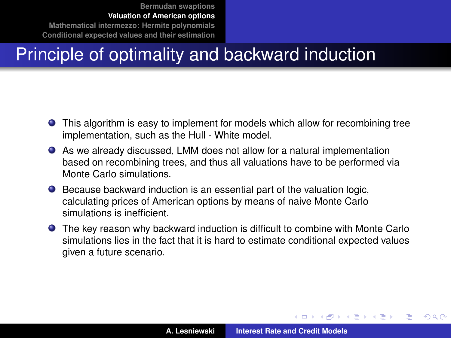## Principle of optimality and backward induction

- This algorithm is easy to implement for models which allow for recombining tree implementation, such as the Hull - White model.
- As we already discussed, LMM does not allow for a natural implementation based on recombining trees, and thus all valuations have to be performed via Monte Carlo simulations.
- Because backward induction is an essential part of the valuation logic, calculating prices of American options by means of naive Monte Carlo simulations is inefficient.
- The key reason why backward induction is difficult to combine with Monte Carlo simulations lies in the fact that it is hard to estimate conditional expected values given a future scenario.

イロメ イ部メ イヨメ イヨメー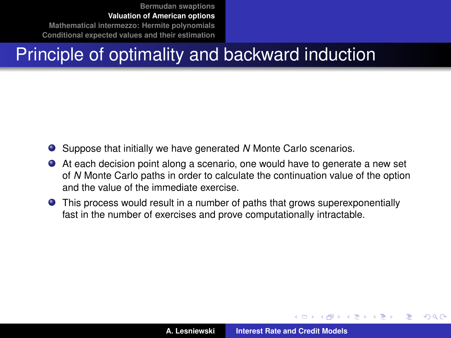## Principle of optimality and backward induction

- Suppose that initially we have generated *N* Monte Carlo scenarios.
- At each decision point along a scenario, one would have to generate a new set of *N* Monte Carlo paths in order to calculate the continuation value of the option and the value of the immediate exercise.
- This process would result in a number of paths that grows superexponentially fast in the number of exercises and prove computationally intractable.

 $\sqrt{m}$  )  $\sqrt{m}$  )  $\sqrt{m}$  )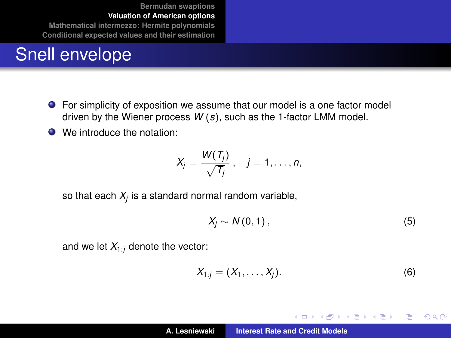## Snell envelope

- For simplicity of exposition we assume that our model is a one factor model driven by the Wiener process *W* (*s*), such as the 1-factor LMM model.
- We introduce the notation:

$$
X_j=\frac{W(T_j)}{\sqrt{T_j}},\quad j=1,\ldots,n,
$$

so that each  $X_{\!j}$  is a standard normal random variable,

$$
X_j \sim N(0,1), \tag{5}
$$

and we let  $X_{1:j}$  denote the vector:

$$
X_{1:j}=(X_1,\ldots,X_j). \hspace{1cm} (6)
$$

イロメ イ部メ イヨメ イヨメー

重  $2Q$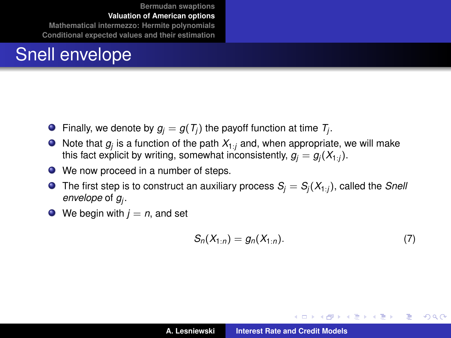## Snell envelope

- Finally, we denote by  $g_j = g(T_j)$  the payoff function at time  $T_j$ .
- Note that *g<sup>j</sup>* is a function of the path *X*1:*<sup>j</sup>* and, when appropriate, we will make this fact explicit by writing, somewhat inconsistently,  $g_j = g_j(X_{1:j})$ .
- We now proceed in a number of steps.
- **O** The first step is to construct an auxiliary process  $S_i = S_i(X_{1:i})$ , called the *Snell envelope* of *g<sup>j</sup>* .
- $\bullet$  We begin with  $j = n$ , and set

$$
S_n(X_{1:n}) = g_n(X_{1:n}).
$$
 (7)

イロメ イ部メ イヨメ イヨメー

Þ  $2Q$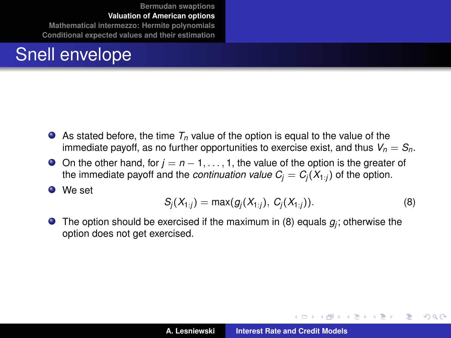## Snell envelope

- As stated before, the time  $T_p$  value of the option is equal to the value of the immediate payoff, as no further opportunities to exercise exist, and thus  $V_n = S_n$ .
- On the other hand, for *j* = *n* − 1, . . . , 1, the value of the option is the greater of the immediate payoff and the *continuation value*  $C_i = C_i(X_{1:i})$  of the option.

**O** We set

$$
S_j(X_{1:j}) = \max(g_j(X_{1:j}), C_j(X_{1:j})).
$$
\n(8)

<span id="page-20-0"></span>(ロトス個) (運) (運)

 $2Q$ 

э.

The option should be exercised if the maximum in [\(8\)](#page-20-0) equals  $g_j$ ; otherwise the option does not get exercised.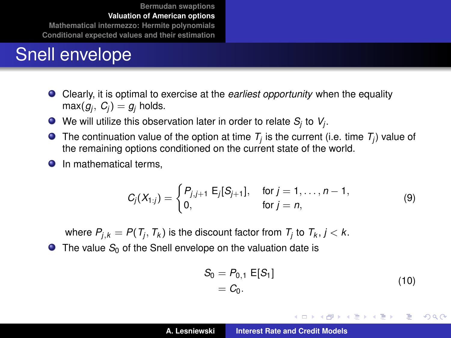#### Snell envelope

- Clearly, it is optimal to exercise at the *earliest opportunity* when the equality  $max(g_j, G_j) = g_j$  holds.
- We will utilize this observation later in order to relate  $S_j$  to  $V_j$ .
- The continuation value of the option at time  $T_j$  is the current (i.e. time  $T_j$ ) value of the remaining options conditioned on the current state of the world.
- **O** In mathematical terms.

$$
C_j(X_{1:j}) = \begin{cases} P_{j,j+1} \mathsf{E}_j[S_{j+1}], & \text{for } j = 1, \ldots, n-1, \\ 0, & \text{for } j = n, \end{cases}
$$
 (9)

where  $P_{j,k} = P(T_j, T_k)$  is the discount factor from  $T_j$  to  $T_k, j < k.$ 

 $\bullet$  The value  $S_0$  of the Snell envelope on the valuation date is

$$
S_0 = P_{0,1} E[S_1] = C_0.
$$
 (10)

イロメ イ部メ イ君メ イ君メー

<span id="page-21-0"></span>Þ  $QQQ$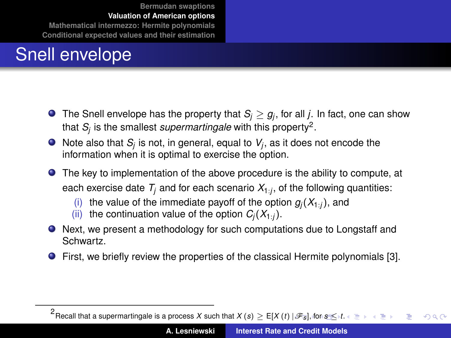## Snell envelope

- The Snell envelope has the property that  $\mathcal{S}_j\geq g_j$ , for all *j*. In fact, one can show that *S<sup>j</sup>* is the smallest *supermartingale* with this property<sup>2</sup> .
- Note also that  $\mathcal{S}_j$  is not, in general, equal to  $\mathcal{V}_j$ , as it does not encode the information when it is optimal to exercise the option.
- The key to implementation of the above procedure is the ability to compute, at each exercise date  $\mathcal{T}_j$  and for each scenario  $\mathcal{X}_{1:j}$ , of the following quantities:
	- (i) the value of the immediate payoff of the option  $g_j(X_{1:j})$ , and (ii) the continuation value of the option  $C_i(X_{1:i})$ .
	- the continuation value of the option  $C_i(X_{1:i})$ .
- Next, we present a methodology for such computations due to Longstaff and Schwartz.
- First, we briefly review the properties of the classical Hermite polynomials [\[3\]](#page-46-2).

<span id="page-22-0"></span> $^2$ Recall that a supe[r](#page-21-0)martingale i[s](#page-22-0) a process *X* such [t](#page-23-0)hat  $X\left(s\right)\ge\mathsf{E}[X\left(t\right)|\mathscr{F}_{\overline{S}}]$  $X\left(s\right)\ge\mathsf{E}[X\left(t\right)|\mathscr{F}_{\overline{S}}]$  $X\left(s\right)\ge\mathsf{E}[X\left(t\right)|\mathscr{F}_{\overline{S}}]$ [, fo](#page-23-0)r  $s\mathcal{\le}\left(t\right)$ Þ  $QQ$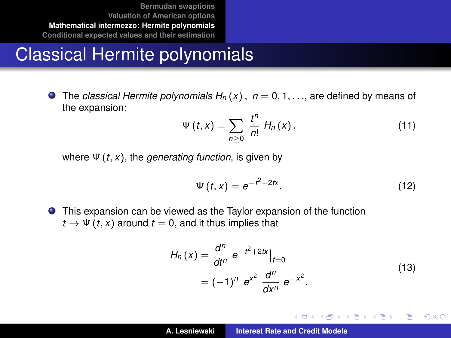## Classical Hermite polynomials

 $\bullet$  The *classical Hermite polynomials H<sub>n</sub>* (x),  $n = 0, 1, \ldots$ , are defined by means of the expansion:

$$
\Psi(t,x)=\sum_{n\geq 0}\,\frac{t^n}{n!}\,H_n(x)\,,\qquad \qquad (11)
$$

where Ψ (*t*, *x*), the *generating function*, is given by

<span id="page-23-2"></span>
$$
\Psi\left(t,x\right) = e^{-t^2 + 2tx}.\tag{12}
$$

This expansion can be viewed as the Taylor expansion of the function  $t \rightarrow \Psi(t, x)$  around  $t = 0$ , and it thus implies that

$$
H_n(x) = \frac{d^n}{dt^n} e^{-t^2 + 2tx} \Big|_{t=0}
$$
  
=  $(-1)^n e^{x^2} \frac{d^n}{dx^n} e^{-x^2}$ . (13)

<span id="page-23-1"></span>イロメ イ部メ イヨメ イヨメー

<span id="page-23-0"></span>Þ  $2Q$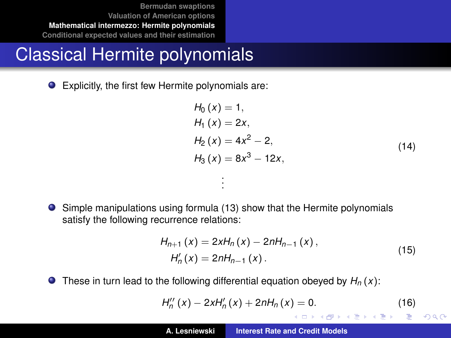## Classical Hermite polynomials

Explicitly, the first few Hermite polynomials are:

$$
H_0(x) = 1,\n H_1(x) = 2x,\n H_2(x) = 4x2 - 2,\n H_3(x) = 8x3 - 12x,
$$
\n(14)

Simple manipulations using formula [\(13\)](#page-23-1) show that the Hermite polynomials satisfy the following recurrence relations:

. . .

$$
H_{n+1}(x) = 2xH_n(x) - 2nH_{n-1}(x),
$$
  
\n
$$
H'_n(x) = 2nH_{n-1}(x).
$$
 (15)

**O** These in turn lead to the following differential equation obeyed by  $H_n(x)$ :

$$
H''_n(x) - 2xH'_n(x) + 2nH_n(x) = 0.
$$
 (16)

<span id="page-24-0"></span>イロメ イ部メ イヨメ イヨメー

重  $2Q$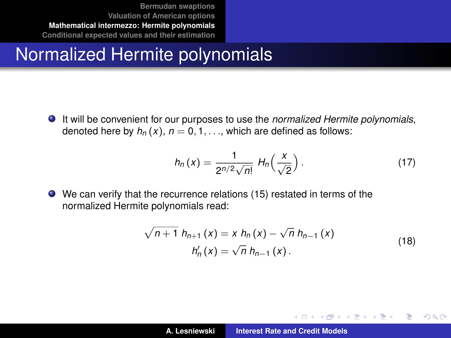## Normalized Hermite polynomials

It will be convenient for our purposes to use the *normalized Hermite polynomials*, denoted here by  $h_n(x)$ ,  $n = 0, 1, \ldots$ , which are defined as follows:

$$
h_n(x) = \frac{1}{2^{n/2}\sqrt{n!}} \; H_n\left(\frac{x}{\sqrt{2}}\right). \tag{17}
$$

We can verify that the recurrence relations [\(15\)](#page-24-0) restated in terms of the normalized Hermite polynomials read:

$$
\sqrt{n+1} h_{n+1}(x) = x h_n(x) - \sqrt{n} h_{n-1}(x)
$$
  
\n
$$
h'_n(x) = \sqrt{n} h_{n-1}(x).
$$
\n(18)

イロメ イ部メ イヨメ イヨメー

Þ

 $298$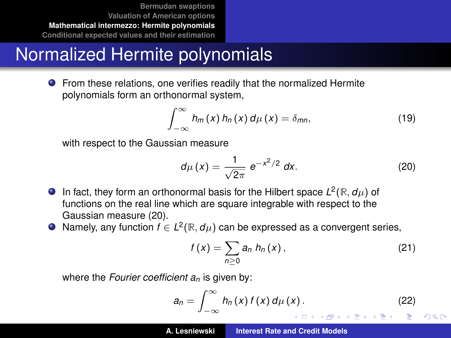## Normalized Hermite polynomials

**•** From these relations, one verifies readily that the normalized Hermite polynomials form an orthonormal system,

$$
\int_{-\infty}^{\infty} h_m(x) h_n(x) d\mu(x) = \delta_{mn}, \qquad (19)
$$

with respect to the Gaussian measure

<span id="page-26-0"></span>
$$
d\mu(x) = \frac{1}{\sqrt{2\pi}} e^{-x^2/2} dx.
$$
 (20)

- In fact, they form an orthonormal basis for the Hilbert space  $L^2(\mathbb{R}, d\mu)$  of functions on the real line which are square integrable with respect to the Gaussian measure [\(20\)](#page-26-0).
- Namely, any function  $f \in L^2(\mathbb{R}, d\mu)$  can be expressed as a convergent series,

<span id="page-26-2"></span><span id="page-26-1"></span>
$$
f(x) = \sum_{n\geq 0} a_n h_n(x), \qquad (21)
$$

where the *Fourier coefficient an* is given by:

$$
a_n = \int_{-\infty}^{\infty} h_n(x) f(x) d\mu(x).
$$
 (22)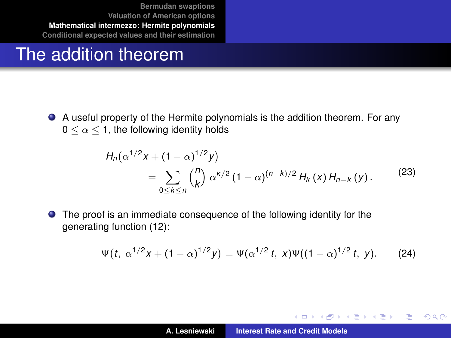#### The addition theorem

A useful property of the Hermite polynomials is the addition theorem. For any  $0 \leq \alpha \leq 1$ , the following identity holds

$$
H_n(\alpha^{1/2}x + (1 - \alpha)^{1/2}y)
$$
  
= 
$$
\sum_{0 \le k \le n} {n \choose k} \alpha^{k/2} (1 - \alpha)^{(n-k)/2} H_k(x) H_{n-k}(y).
$$
 (23)

The proof is an immediate consequence of the following identity for the generating function [\(12\)](#page-23-2):

$$
\Psi(t, \alpha^{1/2}x + (1 - \alpha)^{1/2}y) = \Psi(\alpha^{1/2}t, x)\Psi((1 - \alpha)^{1/2}t, y).
$$
 (24)

イロト イ部 トイミト イヨト

 $2Q$ 

<span id="page-27-0"></span>重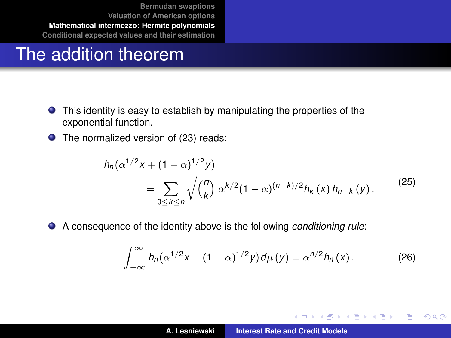#### The addition theorem

*hn*

- This identity is easy to establish by manipulating the properties of the exponential function.
- **O** The normalized version of [\(23\)](#page-27-0) reads:

$$
\eta_n(\alpha^{1/2}x + (1 - \alpha)^{1/2}y) = \sum_{0 \le k \le n} \sqrt{\binom{n}{k}} \alpha^{k/2} (1 - \alpha)^{(n-k)/2} h_k(x) h_{n-k}(y).
$$
 (25)

 $\bullet$ A consequence of the identity above is the following *conditioning rule*:

$$
\int_{-\infty}^{\infty} h_n(\alpha^{1/2}x + (1 - \alpha)^{1/2}y) d\mu(y) = \alpha^{n/2} h_n(x).
$$
 (26)

K ロ ▶ K 御 ▶ K 唐 ▶ K 唐 ▶

 $2Q$ 

<span id="page-28-1"></span><span id="page-28-0"></span>Þ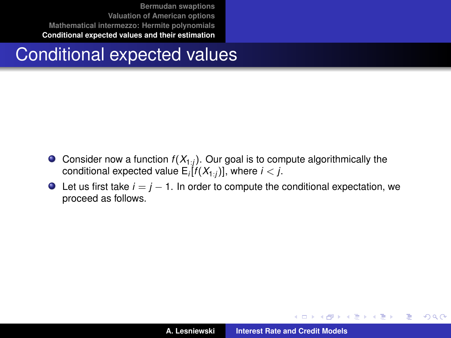#### Conditional expected values

- Consider now a function  $f(X_{1:i})$ . Our goal is to compute algorithmically the conditional expected value E*<sup>i</sup>* [*f* (*X*1:*<sup>j</sup>* )], where *i* < *j*.
- $\bullet$  Let us first take  $i = j 1$ . In order to compute the conditional expectation, we proceed as follows.

イロメ イ部メ イヨメ イヨメー

重

<span id="page-29-0"></span> $298$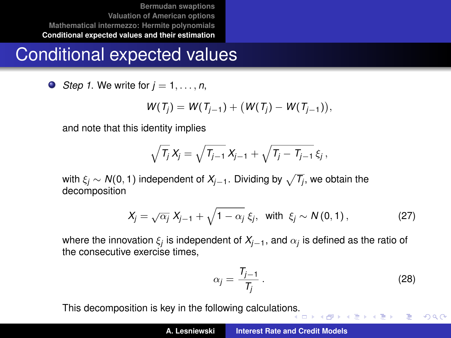## Conditional expected values

 $\bullet$  *Step 1.* We write for  $j = 1, \ldots, n$ ,

$$
W(T_j) = W(T_{j-1}) + (W(T_j) - W(T_{j-1})),
$$

and note that this identity implies

$$
\sqrt{T_j} X_j = \sqrt{T_{j-1}} X_{j-1} + \sqrt{T_j - T_{j-1}} \xi_j,
$$

with  $\xi_j \sim {\sf N}(0,1)$  independent of  $X_{j-1}.$  Dividing by  $\sqrt{\mathcal{T}_j}$ , we obtain the decomposition

$$
X_j = \sqrt{\alpha_j} X_{j-1} + \sqrt{1 - \alpha_j} \xi_j, \text{ with } \xi_j \sim N(0, 1), \qquad (27)
$$

where the innovation  $\xi_j$  is independent of  $\mathcal{X}_{j-1},$  and  $\alpha_j$  is defined as the ratio of the consecutive exercise times,

$$
\alpha_j = \frac{T_{j-1}}{T_j} \,. \tag{28}
$$

<span id="page-30-0"></span>÷.  $299$ 

This decomposition is key in the following calculatio[ns.](#page-29-0)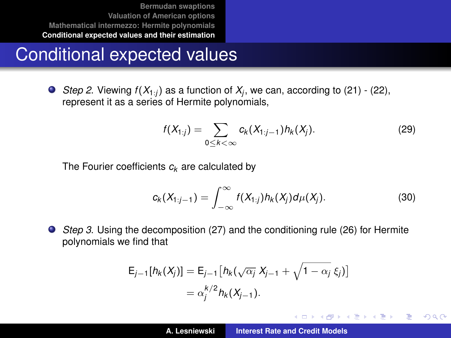## Conditional expected values

*Step 2.* Viewing  $f(X_{1:j})$  as a function of  $X_j$ , we can, according to [\(21\)](#page-26-1) - [\(22\)](#page-26-2), represent it as a series of Hermite polynomials,

<span id="page-31-0"></span>
$$
f(X_{1:j}) = \sum_{0 \leq k < \infty} c_k(X_{1:j-1}) h_k(X_j). \tag{29}
$$

The Fourier coefficients *c<sup>k</sup>* are calculated by

$$
c_k(X_{1:j-1}) = \int_{-\infty}^{\infty} f(X_{1:j}) h_k(X_j) d\mu(X_j).
$$
 (30)

イロメ イ部メ イヨメ イヨメー

Þ  $2Q$ 

*Step 3*. Using the decomposition [\(27\)](#page-30-0) and the conditioning rule [\(26\)](#page-28-0) for Hermite polynomials we find that

$$
E_{j-1}[h_k(X_j)] = E_{j-1}[h_k(\sqrt{\alpha_j} X_{j-1} + \sqrt{1 - \alpha_j} \xi_j)]
$$
  
=  $\alpha_j^{k/2} h_k(X_{j-1}).$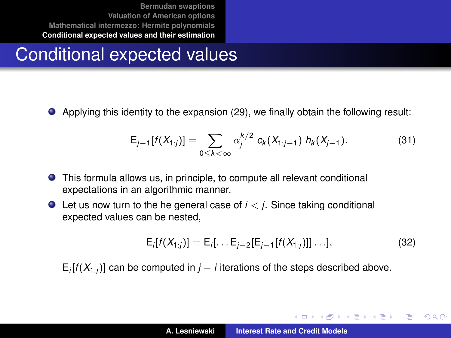## Conditional expected values

Applying this identity to the expansion [\(29\)](#page-31-0), we finally obtain the following result:

$$
E_{j-1}[f(X_{1:j})] = \sum_{0 \leq k < \infty} \alpha_j^{k/2} c_k(X_{1:j-1}) h_k(X_{j-1}). \tag{31}
$$

- This formula allows us, in principle, to compute all relevant conditional expectations in an algorithmic manner.
- $\bullet$  Let us now turn to the he general case of  $i < j$ . Since taking conditional expected values can be nested,

<span id="page-32-0"></span>
$$
E_i[f(X_{1:j})] = E_i[\dots E_{j-2}[E_{j-1}[f(X_{1:j})]]\dots],
$$
\n(32)

イロメ イ部メ イヨメ イヨメー

÷.  $QQQ$ 

E*i* [*f* (*X*1:*<sup>j</sup>* )] can be computed in *j* − *i* iterations of the steps described above.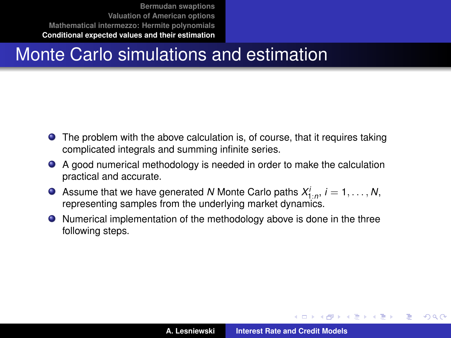## Monte Carlo simulations and estimation

- The problem with the above calculation is, of course, that it requires taking complicated integrals and summing infinite series.
- A good numerical methodology is needed in order to make the calculation practical and accurate.
- Assume that we have generated *N* Monte Carlo paths  $X_{1:n}^i$ ,  $i = 1, \ldots, N$ , representing samples from the underlying market dynamics.
- Numerical implementation of the methodology above is done in the three following steps.

イロメ イ部メ イ君メ イ君メー

Þ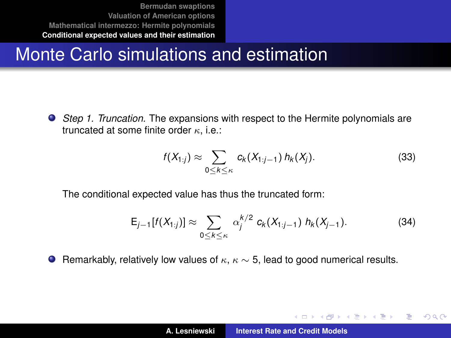## Monte Carlo simulations and estimation

*Step 1. Truncation.* The expansions with respect to the Hermite polynomials are truncated at some finite order  $\kappa$ , i.e.:

<span id="page-34-0"></span>
$$
f(X_{1:j}) \approx \sum_{0 \leq k \leq \kappa} c_k(X_{1:j-1}) h_k(X_j).
$$
 (33)

イロメ イ部メ イ君メ イ君メー

Þ

 $QQQ$ 

The conditional expected value has thus the truncated form:

$$
E_{j-1}[f(X_{1:j})] \approx \sum_{0 \le k \le \kappa} \alpha_j^{k/2} c_k(X_{1:j-1}) h_k(X_{j-1}). \tag{34}
$$

 $\bullet$  Remarkably, relatively low values of  $\kappa$ ,  $\kappa \sim 5$ , lead to good numerical results.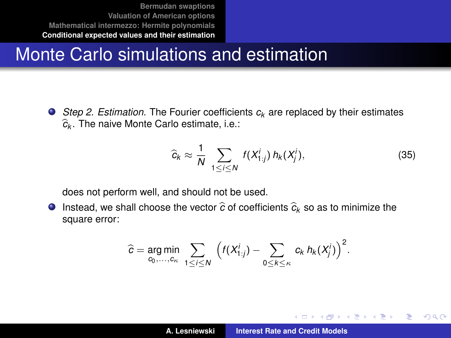## Monte Carlo simulations and estimation

● *Step 2. Estimation.* The Fourier coefficients  $c_k$  are replaced by their estimates b*ck* . The naive Monte Carlo estimate, i.e.:

<span id="page-35-0"></span>
$$
\widehat{c}_k \approx \frac{1}{N} \sum_{1 \le i \le N} f(X_{1:j}^i) h_k(X_j^i), \tag{35}
$$

イロメ イ部メ イヨメ イヨメー

Þ

 $QQ$ 

does not perform well, and should not be used.

**Instead, we shall choose the vector**  $\hat{c}$  **of coefficients**  $\hat{c}_k$  **so as to minimize the** square error:

$$
\widehat{c} = \underset{c_0,\ldots,c_{\kappa}}{\arg\min} \sum_{1 \leq i \leq N} \left( f(X_{1:j}^i) - \sum_{0 \leq k \leq \kappa} c_k \, h_k(X_j^i) \right)^2.
$$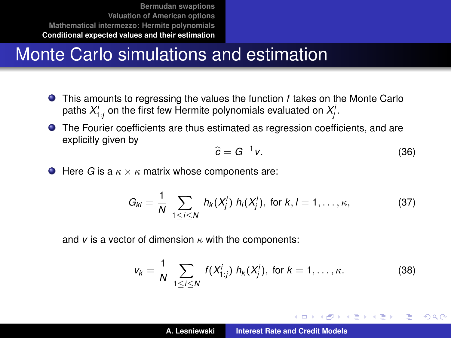## Monte Carlo simulations and estimation

- This amounts to regressing the values the function *f* takes on the Monte Carlo paths  $X_{1:j}^i$  on the first few Hermite polynomials evaluated on  $X_j^i$ .
- The Fourier coefficients are thus estimated as regression coefficients, and are explicitly given by

<span id="page-36-0"></span>
$$
\widehat{c} = G^{-1}v. \tag{36}
$$

イロメ イ部メ イヨメ イヨメー

 $QQQ$ 

 $\bullet$  Here *G* is a  $\kappa \times \kappa$  matrix whose components are:

$$
G_{kl} = \frac{1}{N} \sum_{1 \leq i \leq N} h_k(X_j^i) h_l(X_j^i), \text{ for } k, l = 1, ..., \kappa,
$$
 (37)

and  $v$  is a vector of dimension  $\kappa$  with the components:

$$
v_k = \frac{1}{N} \sum_{1 \le i \le N} f(X_{1:j}^i) h_k(X_j^i), \text{ for } k = 1, ..., \kappa.
$$
 (38)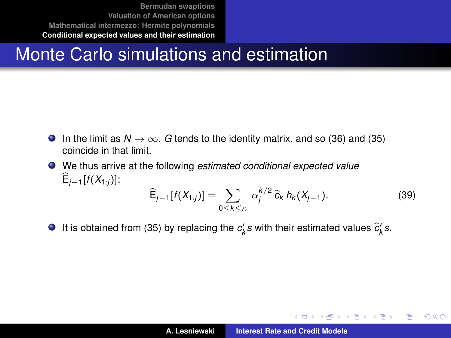## Monte Carlo simulations and estimation

- **In the limit as**  $N \to \infty$ **, G tends to the identity matrix, and so [\(36\)](#page-36-0) and [\(35\)](#page-35-0)** coincide in that limit.
- We thus arrive at the following *estimated conditional expected value*  $E_{j-1}[f(X_{1:j})]$ :  $\widehat{\mathsf{E}}_{j-1}[f(X_{1:j})] = \sum$  $\alpha_j^{k/2} \hat{c}_k h_k(X_{j-1}).$  (39)
- It is obtained from [\(35\)](#page-35-0) by replacing the  $c'_k s$  with their estimated values  $\widehat{c}'_k s$ .

0≤*k*≤κ

K ロ ⊁ K 伊 ⊁ K 君 ⊁ K 君 ⊁ …

÷.  $2Q$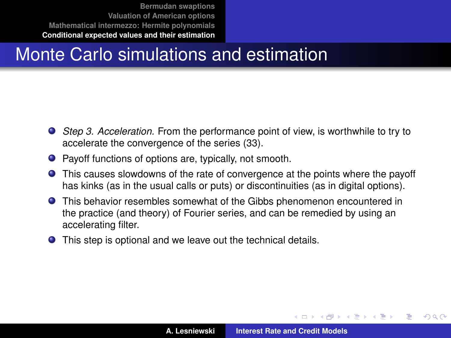## Monte Carlo simulations and estimation

- *Step 3. Acceleration.* From the performance point of view, is worthwhile to try to accelerate the convergence of the series [\(33\)](#page-34-0).
- Payoff functions of options are, typically, not smooth.
- This causes slowdowns of the rate of convergence at the points where the payoff has kinks (as in the usual calls or puts) or discontinuities (as in digital options).
- This behavior resembles somewhat of the Gibbs phenomenon encountered in the practice (and theory) of Fourier series, and can be remedied by using an accelerating filter.
- This step is optional and we leave out the technical details.

 $\overline{AB}$   $\rightarrow$   $\overline{AB}$   $\rightarrow$   $\overline{AB}$   $\rightarrow$ 

 $QQQ$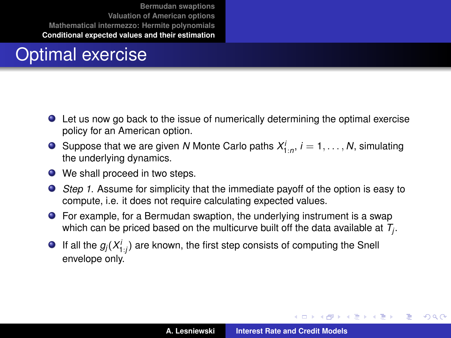## Optimal exercise

- Let us now go back to the issue of numerically determining the optimal exercise policy for an American option.
- Suppose that we are given *N* Monte Carlo paths  $X_{1:n}^i$ ,  $i = 1, \ldots, N$ , simulating the underlying dynamics.
- We shall proceed in two steps.
- *Step 1*. Assume for simplicity that the immediate payoff of the option is easy to compute, i.e. it does not require calculating expected values.
- For example, for a Bermudan swaption, the underlying instrument is a swap which can be priced based on the multicurve built off the data available at *T<sup>j</sup>* .
- If all the  $g_j(X_{1:j}^i)$  are known, the first step consists of computing the Snell envelope only.

イロメ イ団メ イヨメ イヨメー

Þ  $2Q$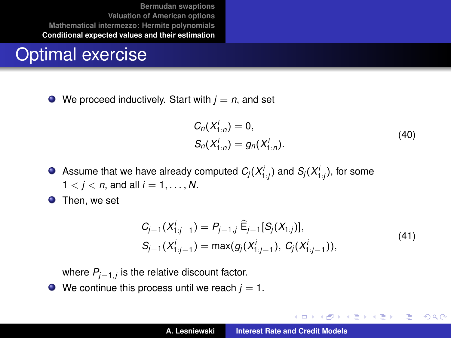#### Optimal exercise

 $\bullet$  We proceed inductively. Start with  $j = n$ , and set

$$
C_n(X_{1:n}^i) = 0,
$$
  
\n
$$
S_n(X_{1:n}^i) = g_n(X_{1:n}^i).
$$
 (40)

イロメ イ部メ イヨメ イヨメー

B

<span id="page-40-0"></span> $2Q$ 

Assume that we have already computed  $C_j(X_{{1:j}}^i)$  and  $S_j(X_{{1:j}}^i)$ , for some  $1 < i < n$ , and all  $i = 1, ..., N$ .

**O** Then, we set

$$
C_{j-1}(X_{1:j-1}^i) = P_{j-1,j} \widehat{E}_{j-1}[S_j(X_{1:j})],
$$
  
\n
$$
S_{j-1}(X_{1:j-1}^i) = \max(g_j(X_{1:j-1}^i), C_j(X_{1:j-1}^i)),
$$
\n(41)

where *Pj*−1,*<sup>j</sup>* is the relative discount factor.

 $\bullet$  We continue this process until we reach  $j = 1$ .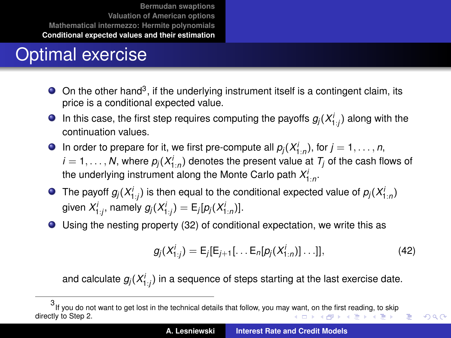## Optimal exercise

- On the other hand<sup>3</sup>, if the underlying instrument itself is a contingent claim, its price is a conditional expected value.
- In this case, the first step requires computing the payoffs  $g_j(X_{1:j}^i)$  along with the continuation values.
- In order to prepare for it, we first pre-compute all  $p_j(X_{1:n}^j)$ , for  $j = 1, ..., n$ ,  $i = 1, \ldots, N$ , where  $p_j(X_{1:n}^i)$  denotes the present value at  $\mathcal{T}_j$  of the cash flows of the underlying instrument along the Monte Carlo path  $X_{1:n}^i$ .
- The payoff  $g_j(X_{1:j}^i)$  is then equal to the conditional expected value of  $p_j(X_{1:n}^i)$ given  $X'_{1:j}$ , namely  $g_j(X'_{1:j}) = \mathsf{E}_j[p_j(X'_{1:n})]$ .
- Using the nesting property [\(32\)](#page-32-0) of conditional expectation, we write this as

$$
g_j(X_{1:j}^i) = E_j[E_{j+1}[\dots E_n[p_j(X_{1:n}^i)]\dots]],
$$
\n(42)

重

<span id="page-41-0"></span> $QQQ$ 

and calculate  $g_j(X^i_{1:j})$  in a sequence of steps starting at the last exercise date.

<sup>3</sup> If you do not want to get lost in the technical details that follow, you may [wa](#page-40-0)nt[, o](#page-42-0)[n t](#page-40-0)[he fi](#page-41-0)[rs](#page-42-0)[t r](#page-28-1)[e](#page-29-0)[adin](#page-46-0)[g,](#page-28-1) [to](#page-29-0) [ski](#page-46-0)[p](#page-0-0) directly to Step 2. **K ロ ト K 母 ト K ヨ ト K ヨ ト**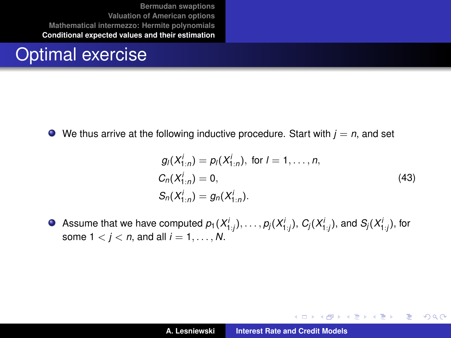#### Optimal exercise

We thus arrive at the following inductive procedure. Start with  $j = n$ , and set  $\bullet$ 

$$
g_l(X_{1:n}^i) = p_l(X_{1:n}^i), \text{ for } l = 1, ..., n,
$$
  
\n
$$
C_n(X_{1:n}^i) = 0,
$$
  
\n
$$
S_n(X_{1:n}^i) = g_n(X_{1:n}^i).
$$
\n(43)

イロメ イ団メ イヨメ イヨメー

<span id="page-42-0"></span> $299$ 重

Assume that we have computed  $\rho_1(X_{1:j}^i),\ldots,\rho_j(X_{1:j}^i),$   $C_j(X_{1:j}^i),$  and  $\mathcal{S}_j(X_{1:j}^i),$  for some  $1 < i < n$ , and all  $i = 1, ..., N$ .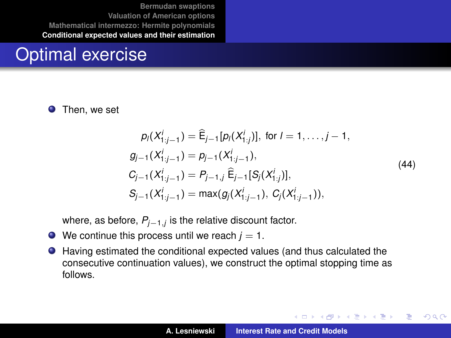#### Optimal exercise

Then, we set 0

$$
p_l(X_{1:j-1}^i) = \hat{\mathsf{E}}_{j-1}[p_l(X_{1:j}^i)], \text{ for } l = 1, ..., j-1,
$$
  
\n
$$
g_{j-1}(X_{1:j-1}^i) = p_{j-1}(X_{1:j-1}^i),
$$
  
\n
$$
G_{j-1}(X_{1:j-1}^i) = P_{j-1,j} \hat{\mathsf{E}}_{j-1}[S_j(X_{1:j}^i)],
$$
  
\n
$$
S_{j-1}(X_{1:j-1}^i) = \max(g_j(X_{1:j-1}^i), G_j(X_{1:j-1}^i)),
$$
\n(44)

where, as before, *Pj*−1,*<sup>j</sup>* is the relative discount factor.

- $\bullet$  We continue this process until we reach  $j = 1$ .
- $\bullet$ Having estimated the conditional expected values (and thus calculated the consecutive continuation values), we construct the optimal stopping time as follows.

イロメ イ部メ イヨメ イヨメー

 $2Q$ 

Þ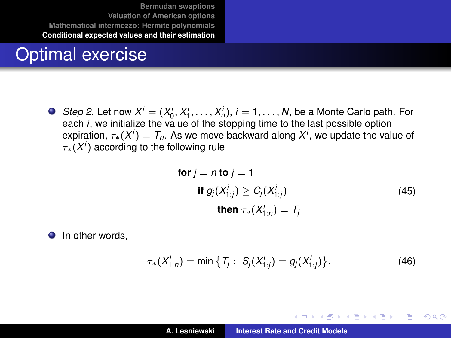#### Optimal exercise

*Step 2*. Let now  $X^i = (X_0^i, X_1^i, \ldots, X_n^i)$ ,  $i = 1, \ldots, N$ , be a Monte Carlo path. For  $\alpha$  is the *i*  $\alpha$  in  $\alpha$  is  $\alpha$  is  $\alpha$  is  $\alpha$  is  $\alpha$  is  $\alpha$  is  $\alpha$  is  $\alpha$  is  $\alpha$  is  $\alpha$  is  $\alpha$  is  $\alpha$  is  $\alpha$  is  $\alpha$  is  $\alpha$  is  $\alpha$  is  $\alpha$  is  $\alpha$  is  $\alpha$  is  $\alpha$  is  $\alpha$  is  $\alpha$  is  $\alpha$  is  $\alpha$  is  $\alpha$  expiration,  $\tau_*(X^i) = T_n$ . As we move backward along  $X^i$ , we update the value of  $\tau_*(X^i)$  according to the following rule

$$
\begin{aligned}\n\text{for } j = n \text{ to } j = 1 \\
\text{if } g_j(X_{1:j}^j) \ge C_j(X_{1:j}^j) \\
\text{then } \tau_*(X_{1:n}^j) = T_j\n\end{aligned} \tag{45}
$$

(ロトス個) (運) (運)

 $299$ Þ

**O** In other words,

$$
\tau_*(X^i_{1:n}) = \min \big\{ T_j : S_j(X^i_{1:j}) = g_j(X^i_{1:j}) \big\}.
$$
 (46)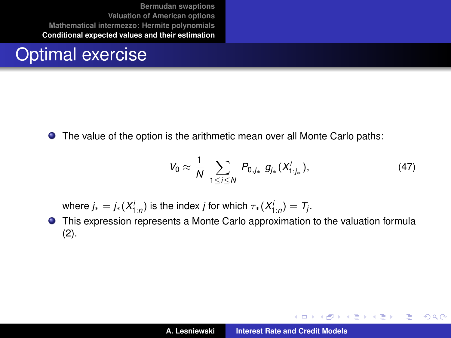#### Optimal exercise

The value of the option is the arithmetic mean over all Monte Carlo paths:

$$
V_0 \approx \frac{1}{N} \sum_{1 \leq i \leq N} P_{0,j_*} g_{j_*}(X^i_{1:j_*}), \qquad (47)
$$

イロメ イ部メ イヨメ イヨメー

 $2Q$ 

÷.

where  $j_* = j_*(X_{1:n}^i)$  is the index  $j$  for which  $\tau_*(X_{1:n}^i) = T_j.$ 

This expression represents a Monte Carlo approximation to the valuation formula [\(2\)](#page-13-1).